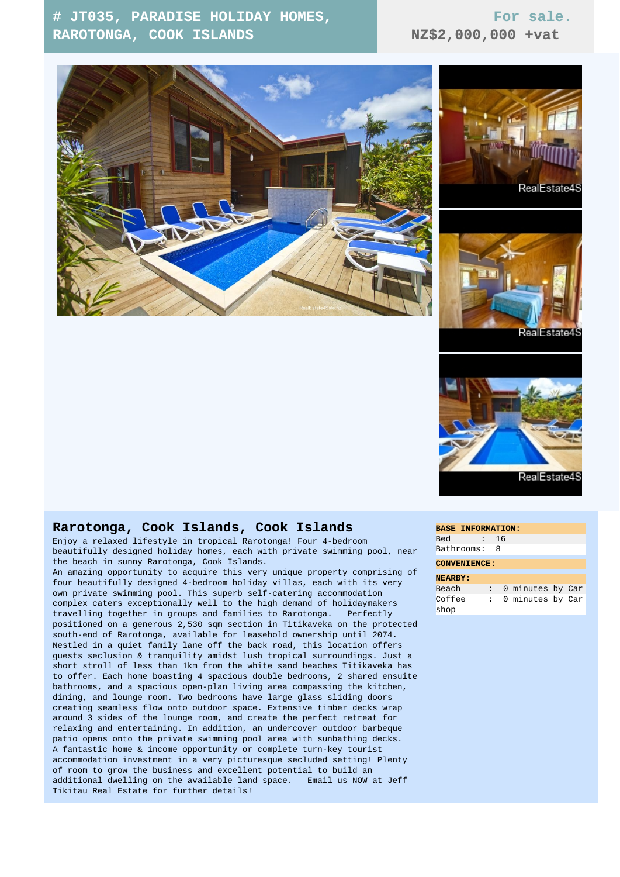## **# JT035, PARADISE HOLIDAY HOMES, RAROTONGA, COOK ISLANDS**

## **For sale. NZ\$2,000,000 +vat**









## **Rarotonga, Cook Islands, Cook Islands**

Enjoy a relaxed lifestyle in tropical Rarotonga! Four 4-bedroom beautifully designed holiday homes, each with private swimming pool, near the beach in sunny Rarotonga, Cook Islands.

An amazing opportunity to acquire this very unique property comprising of four beautifully designed 4-bedroom holiday villas, each with its very own private swimming pool. This superb self-catering accommodation complex caters exceptionally well to the high demand of holidaymakers travelling together in groups and families to Rarotonga. Perfectly positioned on a generous 2,530 sqm section in Titikaveka on the protected south-end of Rarotonga, available for leasehold ownership until 2074. Nestled in a quiet family lane off the back road, this location offers guests seclusion & tranquility amidst lush tropical surroundings. Just a short stroll of less than 1km from the white sand beaches Titikaveka has to offer. Each home boasting 4 spacious double bedrooms, 2 shared ensuite bathrooms, and a spacious open-plan living area compassing the kitchen, dining, and lounge room. Two bedrooms have large glass sliding doors creating seamless flow onto outdoor space. Extensive timber decks wrap around 3 sides of the lounge room, and create the perfect retreat for relaxing and entertaining. In addition, an undercover outdoor barbeque patio opens onto the private swimming pool area with sunbathing decks. A fantastic home & income opportunity or complete turn-key tourist accommodation investment in a very picturesque secluded setting! Plenty of room to grow the business and excellent potential to build an additional dwelling on the available land space. Email us NOW at Jeff Tikitau Real Estate for further details!

| <b>BASE INFORMATION:</b> |   |    |                  |  |  |
|--------------------------|---|----|------------------|--|--|
| <b>Bed</b>               | : | 16 |                  |  |  |
| Bathrooms:               |   | 8  |                  |  |  |
| <b>CONVENIENCE:</b>      |   |    |                  |  |  |
| <b>NEARBY:</b>           |   |    |                  |  |  |
| Beach                    |   |    | 0 minutes by Car |  |  |
| Coffee                   |   |    | 0 minutes by Car |  |  |
| shop                     |   |    |                  |  |  |